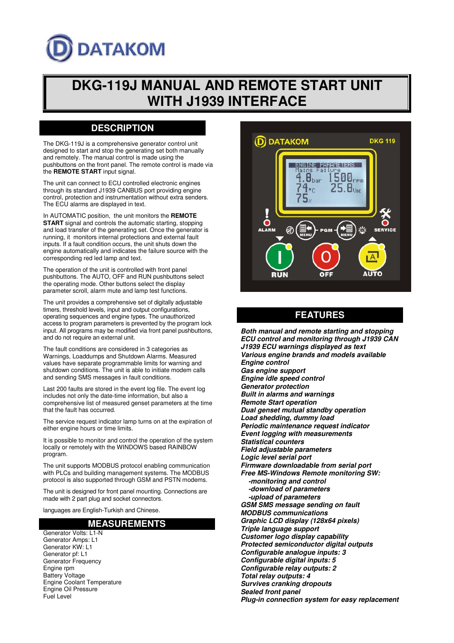# **DATAKOM**

## **DKG-119J MANUAL AND REMOTE START UNIT WITH J1939 INTERFACE**

## **DESCRIPTION**

The DKG-119J is a comprehensive generator control unit designed to start and stop the generating set both manually and remotely. The manual control is made using the pushbuttons on the front panel. The remote control is made via the **REMOTE START** input signal.

The unit can connect to ECU controlled electronic engines through its standard J1939 CANBUS port providing engine control, protection and instrumentation without extra senders. The ECU alarms are displayed in text.

In AUTOMATIC position, the unit monitors the **REMOTE START** signal and controls the automatic starting, stopping and load transfer of the generating set. Once the generator is running, it monitors internal protections and external fault inputs. If a fault condition occurs, the unit shuts down the engine automatically and indicates the failure source with the corresponding red led lamp and text.

The operation of the unit is controlled with front panel pushbuttons. The AUTO, OFF and RUN pushbuttons select the operating mode. Other buttons select the display parameter scroll, alarm mute and lamp test functions.

The unit provides a comprehensive set of digitally adjustable timers, threshold levels, input and output configurations, operating sequences and engine types. The unauthorized access to program parameters is prevented by the program lock input. All programs may be modified via front panel pushbuttons, and do not require an external unit.

The fault conditions are considered in 3 categories as Warnings, Loaddumps and Shutdown Alarms. Measured values have separate programmable limits for warning and shutdown conditions. The unit is able to initiate modem calls and sending SMS messages in fault conditions.

Last 200 faults are stored in the event log file. The event log includes not only the date-time information, but also a comprehensive list of measured genset parameters at the time that the fault has occurred.

The service request indicator lamp turns on at the expiration of either engine hours or time limits.

It is possible to monitor and control the operation of the system locally or remotely with the WINDOWS based RAINBOW program.

The unit supports MODBUS protocol enabling communication with PLCs and building management systems. The MODBUS protocol is also supported through GSM and PSTN modems.

The unit is designed for front panel mounting. Connections are made with 2 part plug and socket connectors.

languages are English-Turkish and Chinese.

### **MEASUREMENTS**

Generator Volts: L1-N Generator Amps: L1 Generator KW: L1 Generator pf: L1 Generator Frequency Engine rpm Battery Voltage Engine Coolant Temperature Engine Oil Pressure Fuel Level



## **FEATURES**

**Both manual and remote starting and stopping ECU control and monitoring through J1939 CAN J1939 ECU warnings displayed as text Various engine brands and models available Engine control Gas engine support Engine idle speed control Generator protection Built in alarms and warnings Remote Start operation Dual genset mutual standby operation Load shedding, dummy load Periodic maintenance request indicator Event logging with measurements Statistical counters Field adjustable parameters Logic level serial port Firmware downloadable from serial port Free MS-Windows Remote monitoring SW: -monitoring and control -download of parameters -upload of parameters GSM SMS message sending on fault MODBUS communications Graphic LCD display (128x64 pixels) Triple language support Customer logo display capability Protected semiconductor digital outputs Configurable analogue inputs: 3 Configurable digital inputs: 5 Configurable relay outputs: 2 Total relay outputs: 4 Survives cranking dropouts Sealed front panel Plug-in connection system for easy replacement**